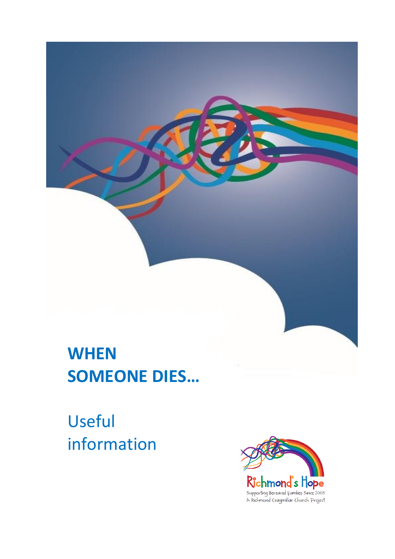# **WHEN SOMEONE DIES…**

Useful information

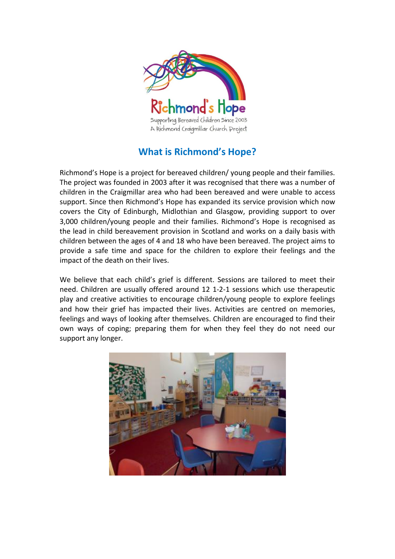

# **What is Richmond's Hope?**

Richmond's Hope is a project for bereaved children/ young people and their families. The project was founded in 2003 after it was recognised that there was a number of children in the Craigmillar area who had been bereaved and were unable to access support. Since then Richmond's Hope has expanded its service provision which now covers the City of Edinburgh, Midlothian and Glasgow, providing support to over 3,000 children/young people and their families. Richmond's Hope is recognised as the lead in child bereavement provision in Scotland and works on a daily basis with children between the ages of 4 and 18 who have been bereaved. The project aims to provide a safe time and space for the children to explore their feelings and the impact of the death on their lives.

We believe that each child's grief is different. Sessions are tailored to meet their need. Children are usually offered around 12 1-2-1 sessions which use therapeutic play and creative activities to encourage children/young people to explore feelings and how their grief has impacted their lives. Activities are centred on memories, feelings and ways of looking after themselves. Children are encouraged to find their own ways of coping; preparing them for when they feel they do not need our support any longer.

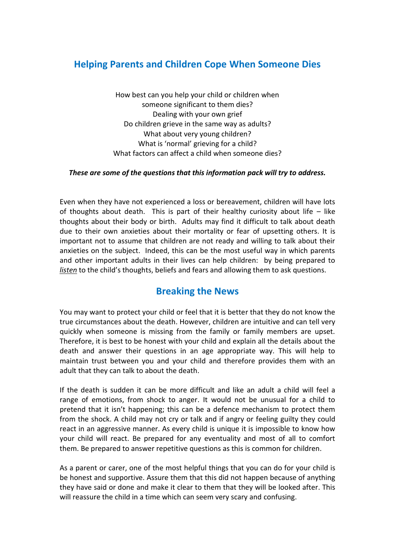# **Helping Parents and Children Cope When Someone Dies**

How best can you help your child or children when someone significant to them dies? Dealing with your own grief Do children grieve in the same way as adults? What about very young children? What is 'normal' grieving for a child? What factors can affect a child when someone dies?

### *These are some of the questions that this information pack will try to address.*

Even when they have not experienced a loss or bereavement, children will have lots of thoughts about death. This is part of their healthy curiosity about life  $-$  like thoughts about their body or birth. Adults may find it difficult to talk about death due to their own anxieties about their mortality or fear of upsetting others. It is important not to assume that children are not ready and willing to talk about their anxieties on the subject. Indeed, this can be the most useful way in which parents and other important adults in their lives can help children: by being prepared to *listen* to the child's thoughts, beliefs and fears and allowing them to ask questions.

# **Breaking the News**

You may want to protect your child or feel that it is better that they do not know the true circumstances about the death. However, children are intuitive and can tell very quickly when someone is missing from the family or family members are upset. Therefore, it is best to be honest with your child and explain all the details about the death and answer their questions in an age appropriate way. This will help to maintain trust between you and your child and therefore provides them with an adult that they can talk to about the death.

If the death is sudden it can be more difficult and like an adult a child will feel a range of emotions, from shock to anger. It would not be unusual for a child to pretend that it isn't happening; this can be a defence mechanism to protect them from the shock. A child may not cry or talk and if angry or feeling guilty they could react in an aggressive manner. As every child is unique it is impossible to know how your child will react. Be prepared for any eventuality and most of all to comfort them. Be prepared to answer repetitive questions as this is common for children.

As a parent or carer, one of the most helpful things that you can do for your child is be honest and supportive. Assure them that this did not happen because of anything they have said or done and make it clear to them that they will be looked after. This will reassure the child in a time which can seem very scary and confusing.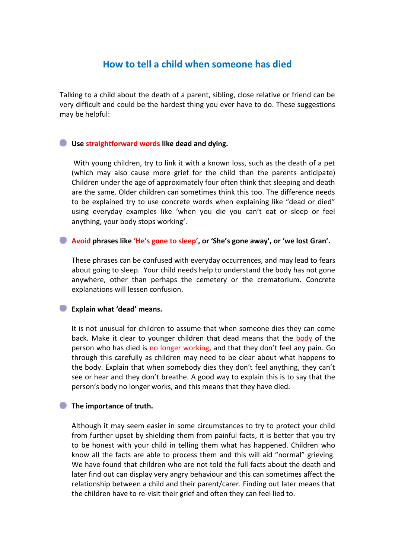# **How to tell a child when someone has died**

Talking to a child about the death of a parent, sibling, close relative or friend can be very difficult and could be the hardest thing you ever have to do. These suggestions may be helpful:

### **Use straightforward words like dead and dying.**

With young children, try to link it with a known loss, such as the death of a pet (which may also cause more grief for the child than the parents anticipate) Children under the age of approximately four often think that sleeping and death are the same. Older children can sometimes think this too. The difference needs to be explained try to use concrete words when explaining like "dead or died" using everyday examples like 'when you die you can't eat or sleep or feel anything, your body stops working'.

### **Avoid phrases like 'He's gone to sleep', or 'She's gone away', or 'we lost Gran'.**

These phrases can be confused with everyday occurrences, and may lead to fears about going to sleep. Your child needs help to understand the body has not gone anywhere, other than perhaps the cemetery or the crematorium. Concrete explanations will lessen confusion.

### **Explain what 'dead' means.**

It is not unusual for children to assume that when someone dies they can come back. Make it clear to younger children that dead means that the body of the person who has died is no longer working, and that they don't feel any pain. Go through this carefully as children may need to be clear about what happens to the body. Explain that when somebody dies they don't feel anything, they can't see or hear and they don't breathe. A good way to explain this is to say that the person's body no longer works, and this means that they have died.

### **The importance of truth.**

Although it may seem easier in some circumstances to try to protect your child from further upset by shielding them from painful facts, it is better that you try to be honest with your child in telling them what has happened. Children who know all the facts are able to process them and this will aid "normal" grieving. We have found that children who are not told the full facts about the death and later find out can display very angry behaviour and this can sometimes affect the relationship between a child and their parent/carer. Finding out later means that the children have to re-visit their grief and often they can feel lied to.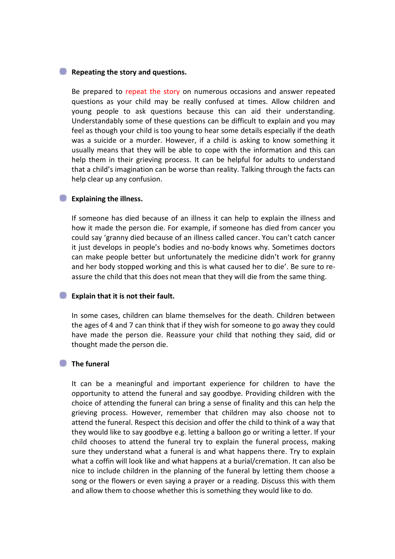#### **Repeating the story and questions.**

Be prepared to repeat the story on numerous occasions and answer repeated questions as your child may be really confused at times. Allow children and young people to ask questions because this can aid their understanding. Understandably some of these questions can be difficult to explain and you may feel as though your child is too young to hear some details especially if the death was a suicide or a murder. However, if a child is asking to know something it usually means that they will be able to cope with the information and this can help them in their grieving process. It can be helpful for adults to understand that a child's imagination can be worse than reality. Talking through the facts can help clear up any confusion.

#### **Explaining the illness.**

If someone has died because of an illness it can help to explain the illness and how it made the person die. For example, if someone has died from cancer you could say 'granny died because of an illness called cancer. You can't catch cancer it just develops in people's bodies and no-body knows why. Sometimes doctors can make people better but unfortunately the medicine didn't work for granny and her body stopped working and this is what caused her to die'. Be sure to reassure the child that this does not mean that they will die from the same thing.

#### **Explain that it is not their fault.**

In some cases, children can blame themselves for the death. Children between the ages of 4 and 7 can think that if they wish for someone to go away they could have made the person die. Reassure your child that nothing they said, did or thought made the person die.

#### **The funeral**

It can be a meaningful and important experience for children to have the opportunity to attend the funeral and say goodbye. Providing children with the choice of attending the funeral can bring a sense of finality and this can help the grieving process. However, remember that children may also choose not to attend the funeral. Respect this decision and offer the child to think of a way that they would like to say goodbye e.g. letting a balloon go or writing a letter. If your child chooses to attend the funeral try to explain the funeral process, making sure they understand what a funeral is and what happens there. Try to explain what a coffin will look like and what happens at a burial/cremation. It can also be nice to include children in the planning of the funeral by letting them choose a song or the flowers or even saying a prayer or a reading. Discuss this with them and allow them to choose whether this is something they would like to do.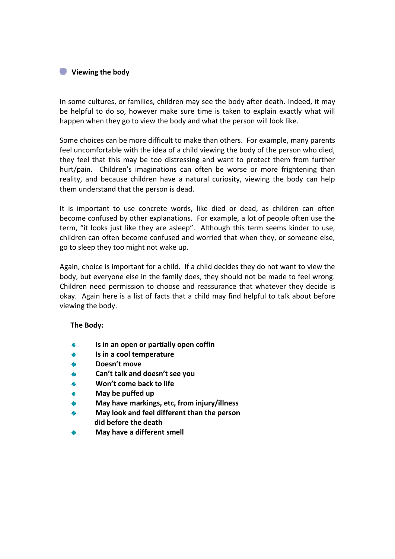# **Viewing the body**

In some cultures, or families, children may see the body after death. Indeed, it may be helpful to do so, however make sure time is taken to explain exactly what will happen when they go to view the body and what the person will look like.

Some choices can be more difficult to make than others. For example, many parents feel uncomfortable with the idea of a child viewing the body of the person who died, they feel that this may be too distressing and want to protect them from further hurt/pain. Children's imaginations can often be worse or more frightening than reality, and because children have a natural curiosity, viewing the body can help them understand that the person is dead.

It is important to use concrete words, like died or dead, as children can often become confused by other explanations. For example, a lot of people often use the term, "it looks just like they are asleep". Although this term seems kinder to use, children can often become confused and worried that when they, or someone else, go to sleep they too might not wake up.

Again, choice is important for a child. If a child decides they do not want to view the body, but everyone else in the family does, they should not be made to feel wrong. Children need permission to choose and reassurance that whatever they decide is okay. Again here is a list of facts that a child may find helpful to talk about before viewing the body.

### **The Body:**

- **Is in an open or partially open coffin**
- **Is in a cool temperature**
- **Doesn't move**
- **Can't talk and doesn't see you**
- ۵ **Won't come back to life**
- **May be puffed up**
- **May have markings, etc, from injury/illness**
- **May look and feel different than the person did before the death**
- **May have a different smell**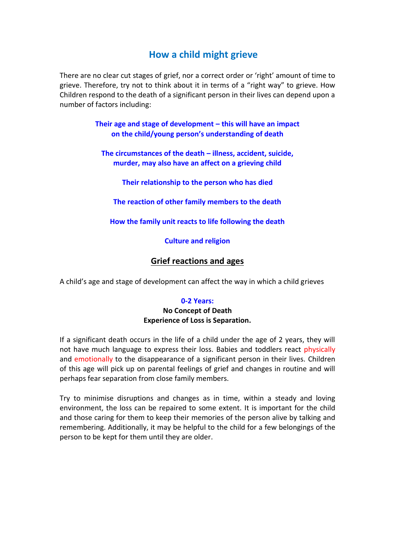# **How a child might grieve**

There are no clear cut stages of grief, nor a correct order or 'right' amount of time to grieve. Therefore, try not to think about it in terms of a "right way" to grieve. How Children respond to the death of a significant person in their lives can depend upon a number of factors including:

> **Their age and stage of development – this will have an impact on the child/young person's understanding of death**

**The circumstances of the death – illness, accident, suicide, murder, may also have an affect on a grieving child**

**Their relationship to the person who has died**

**The reaction of other family members to the death**

**How the family unit reacts to life following the death**

**Culture and religion**

# **Grief reactions and ages**

A child's age and stage of development can affect the way in which a child grieves

### **0-2 Years:**

### **No Concept of Death Experience of Loss is Separation.**

If a significant death occurs in the life of a child under the age of 2 years, they will not have much language to express their loss. Babies and toddlers react physically and emotionally to the disappearance of a significant person in their lives. Children of this age will pick up on parental feelings of grief and changes in routine and will perhaps fear separation from close family members.

Try to minimise disruptions and changes as in time, within a steady and loving environment, the loss can be repaired to some extent. It is important for the child and those caring for them to keep their memories of the person alive by talking and remembering. Additionally, it may be helpful to the child for a few belongings of the person to be kept for them until they are older.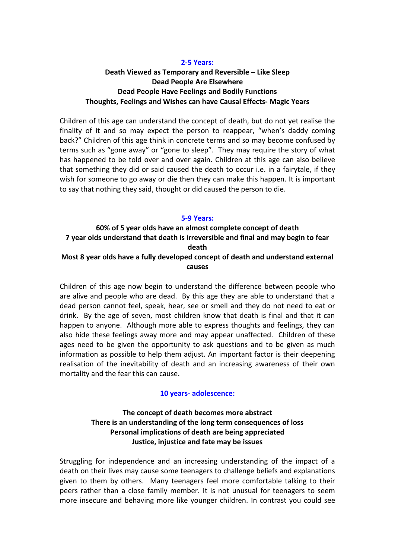# **2-5 Years: Death Viewed as Temporary and Reversible – Like Sleep Dead People Are Elsewhere Dead People Have Feelings and Bodily Functions Thoughts, Feelings and Wishes can have Causal Effects- Magic Years**

Children of this age can understand the concept of death, but do not yet realise the finality of it and so may expect the person to reappear, "when's daddy coming back?" Children of this age think in concrete terms and so may become confused by terms such as "gone away" or "gone to sleep". They may require the story of what has happened to be told over and over again. Children at this age can also believe that something they did or said caused the death to occur i.e. in a fairytale, if they wish for someone to go away or die then they can make this happen. It is important to say that nothing they said, thought or did caused the person to die.

### **5-9 Years:**

### **60% of 5 year olds have an almost complete concept of death 7 year olds understand that death is irreversible and final and may begin to fear death Most 8 year olds have a fully developed concept of death and understand external causes**

Children of this age now begin to understand the difference between people who are alive and people who are dead. By this age they are able to understand that a dead person cannot feel, speak, hear, see or smell and they do not need to eat or drink. By the age of seven, most children know that death is final and that it can happen to anyone. Although more able to express thoughts and feelings, they can also hide these feelings away more and may appear unaffected. Children of these ages need to be given the opportunity to ask questions and to be given as much information as possible to help them adjust. An important factor is their deepening realisation of the inevitability of death and an increasing awareness of their own mortality and the fear this can cause.

### **10 years- adolescence:**

# **The concept of death becomes more abstract There is an understanding of the long term consequences of loss Personal implications of death are being appreciated Justice, injustice and fate may be issues**

Struggling for independence and an increasing understanding of the impact of a death on their lives may cause some teenagers to challenge beliefs and explanations given to them by others. Many teenagers feel more comfortable talking to their peers rather than a close family member. It is not unusual for teenagers to seem more insecure and behaving more like younger children. In contrast you could see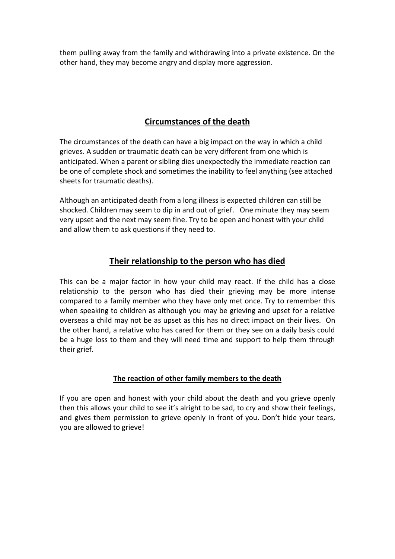them pulling away from the family and withdrawing into a private existence. On the other hand, they may become angry and display more aggression.

# **Circumstances of the death**

The circumstances of the death can have a big impact on the way in which a child grieves. A sudden or traumatic death can be very different from one which is anticipated. When a parent or sibling dies unexpectedly the immediate reaction can be one of complete shock and sometimes the inability to feel anything (see attached sheets for traumatic deaths).

Although an anticipated death from a long illness is expected children can still be shocked. Children may seem to dip in and out of grief. One minute they may seem very upset and the next may seem fine. Try to be open and honest with your child and allow them to ask questions if they need to.

# **Their relationship to the person who has died**

This can be a major factor in how your child may react. If the child has a close relationship to the person who has died their grieving may be more intense compared to a family member who they have only met once. Try to remember this when speaking to children as although you may be grieving and upset for a relative overseas a child may not be as upset as this has no direct impact on their lives. On the other hand, a relative who has cared for them or they see on a daily basis could be a huge loss to them and they will need time and support to help them through their grief.

# **The reaction of other family members to the death**

If you are open and honest with your child about the death and you grieve openly then this allows your child to see it's alright to be sad, to cry and show their feelings, and gives them permission to grieve openly in front of you. Don't hide your tears, you are allowed to grieve!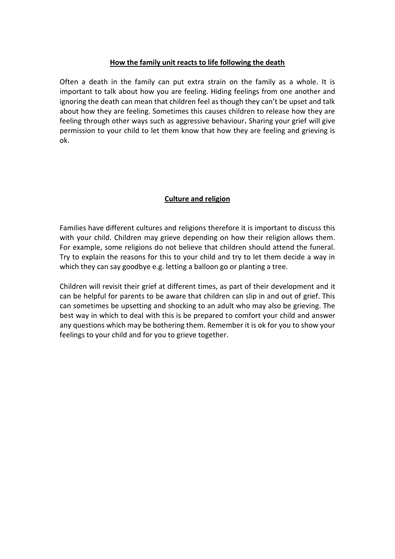### **How the family unit reacts to life following the death**

Often a death in the family can put extra strain on the family as a whole. It is important to talk about how you are feeling. Hiding feelings from one another and ignoring the death can mean that children feel as though they can't be upset and talk about how they are feeling. Sometimes this causes children to release how they are feeling through other ways such as aggressive behaviour**.** Sharing your grief will give permission to your child to let them know that how they are feeling and grieving is ok.

# **Culture and religion**

Families have different cultures and religions therefore it is important to discuss this with your child. Children may grieve depending on how their religion allows them. For example, some religions do not believe that children should attend the funeral. Try to explain the reasons for this to your child and try to let them decide a way in which they can say goodbye e.g. letting a balloon go or planting a tree.

Children will revisit their grief at different times, as part of their development and it can be helpful for parents to be aware that children can slip in and out of grief. This can sometimes be upsetting and shocking to an adult who may also be grieving. The best way in which to deal with this is be prepared to comfort your child and answer any questions which may be bothering them. Remember it is ok for you to show your feelings to your child and for you to grieve together.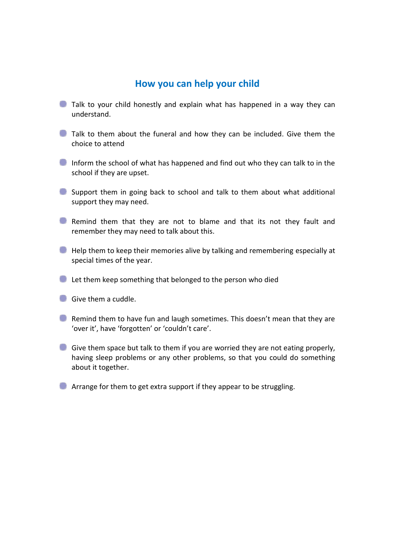# **How you can help your child**

- **Talk to your child honestly and explain what has happened in a way they can** understand.
- Talk to them about the funeral and how they can be included. Give them the choice to attend
- Inform the school of what has happened and find out who they can talk to in the school if they are upset.
- Support them in going back to school and talk to them about what additional support they may need.
- **C** Remind them that they are not to blame and that its not they fault and remember they may need to talk about this.
- Help them to keep their memories alive by talking and remembering especially at special times of the year.
- **Let them keep something that belonged to the person who died**
- Give them a cuddle.
- **C** Remind them to have fun and laugh sometimes. This doesn't mean that they are 'over it', have 'forgotten' or 'couldn't care'.
- Give them space but talk to them if you are worried they are not eating properly, having sleep problems or any other problems, so that you could do something about it together.
- **Arrange for them to get extra support if they appear to be struggling.**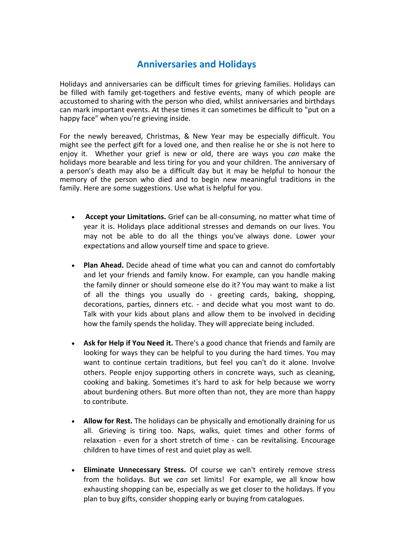# **Anniversaries and Holidays**

Holidays and anniversaries can be difficult times for grieving families. Holidays can be filled with family get-togethers and festive events, many of which people are accustomed to sharing with the person who died, whilst anniversaries and birthdays can mark important events. At these times it can sometimes be difficult to "put on a happy face" when you're grieving inside.

For the newly bereaved, Christmas, & New Year may be especially difficult. You might see the perfect gift for a loved one, and then realise he or she is not here to enjoy it. Whether your grief is new or old, there are ways you *can* make the holidays more bearable and less tiring for you and your children. The anniversary of a person's death may also be a difficult day but it may be helpful to honour the memory of the person who died and to begin new meaningful traditions in the family. Here are some suggestions. Use what is helpful for you.

- **Accept your Limitations.** Grief can be all-consuming, no matter what time of year it is. Holidays place additional stresses and demands on our lives. You may not be able to do all the things you've always done. Lower your expectations and allow yourself time and space to grieve.
- **Plan Ahead.** Decide ahead of time what you can and cannot do comfortably and let your friends and family know. For example, can you handle making the family dinner or should someone else do it? You may want to make a list of all the things you usually do - greeting cards, baking, shopping, decorations, parties, dinners etc. - and decide what you most want to do. Talk with your kids about plans and allow them to be involved in deciding how the family spends the holiday. They will appreciate being included.
- **Ask for Help if You Need it.** There's a good chance that friends and family are looking for ways they can be helpful to you during the hard times. You may want to continue certain traditions, but feel you can't do it alone. Involve others. People enjoy supporting others in concrete ways, such as cleaning, cooking and baking. Sometimes it's hard to ask for help because we worry about burdening others. But more often than not, they are more than happy to contribute.
- **Allow for Rest.** The holidays can be physically and emotionally draining for us all. Grieving is tiring too. Naps, walks, quiet times and other forms of relaxation - even for a short stretch of time - can be revitalising. Encourage children to have times of rest and quiet play as well.
- **Eliminate Unnecessary Stress.** Of course we can't entirely remove stress from the holidays. But we *can* set limits! For example, we all know how exhausting shopping can be, especially as we get closer to the holidays. If you plan to buy gifts, consider shopping early or buying from catalogues.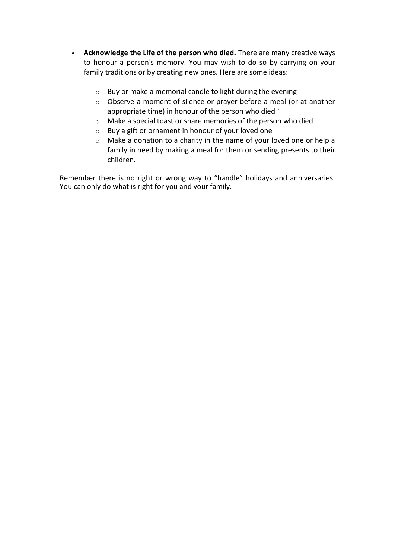- **Acknowledge the Life of the person who died.** There are many creative ways to honour a person's memory. You may wish to do so by carrying on your family traditions or by creating new ones. Here are some ideas:
	- o Buy or make a memorial candle to light during the evening
	- o Observe a moment of silence or prayer before a meal (or at another appropriate time) in honour of the person who died `
	- o Make a special toast or share memories of the person who died
	- o Buy a gift or ornament in honour of your loved one
	- o Make a donation to a charity in the name of your loved one or help a family in need by making a meal for them or sending presents to their children.

Remember there is no right or wrong way to "handle" holidays and anniversaries. You can only do what is right for you and your family.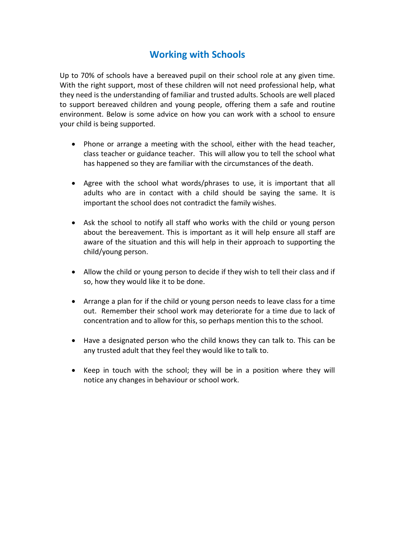# **Working with Schools**

Up to 70% of schools have a bereaved pupil on their school role at any given time. With the right support, most of these children will not need professional help, what they need is the understanding of familiar and trusted adults. Schools are well placed to support bereaved children and young people, offering them a safe and routine environment. Below is some advice on how you can work with a school to ensure your child is being supported.

- Phone or arrange a meeting with the school, either with the head teacher. class teacher or guidance teacher. This will allow you to tell the school what has happened so they are familiar with the circumstances of the death.
- Agree with the school what words/phrases to use, it is important that all adults who are in contact with a child should be saying the same. It is important the school does not contradict the family wishes.
- Ask the school to notify all staff who works with the child or young person about the bereavement. This is important as it will help ensure all staff are aware of the situation and this will help in their approach to supporting the child/young person.
- Allow the child or young person to decide if they wish to tell their class and if so, how they would like it to be done.
- Arrange a plan for if the child or young person needs to leave class for a time out. Remember their school work may deteriorate for a time due to lack of concentration and to allow for this, so perhaps mention this to the school.
- Have a designated person who the child knows they can talk to. This can be any trusted adult that they feel they would like to talk to.
- Keep in touch with the school; they will be in a position where they will notice any changes in behaviour or school work.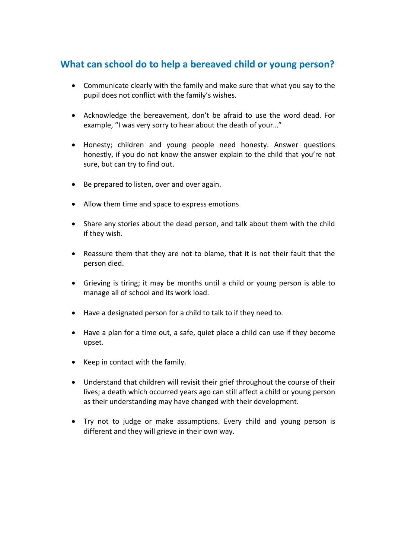# **What can school do to help a bereaved child or young person?**

- Communicate clearly with the family and make sure that what you say to the pupil does not conflict with the family's wishes.
- Acknowledge the bereavement, don't be afraid to use the word dead. For example, "I was very sorry to hear about the death of your…"
- Honesty; children and young people need honesty. Answer questions honestly, if you do not know the answer explain to the child that you're not sure, but can try to find out.
- Be prepared to listen, over and over again.
- Allow them time and space to express emotions
- Share any stories about the dead person, and talk about them with the child if they wish.
- Reassure them that they are not to blame, that it is not their fault that the person died.
- Grieving is tiring; it may be months until a child or young person is able to manage all of school and its work load.
- Have a designated person for a child to talk to if they need to.
- Have a plan for a time out, a safe, quiet place a child can use if they become upset.
- Keep in contact with the family.
- Understand that children will revisit their grief throughout the course of their lives; a death which occurred years ago can still affect a child or young person as their understanding may have changed with their development.
- Try not to judge or make assumptions. Every child and young person is different and they will grieve in their own way.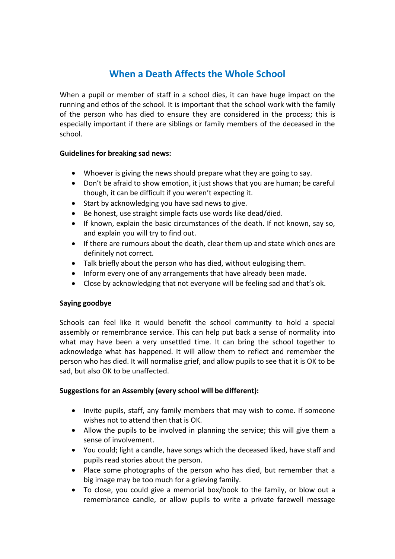# **When a Death Affects the Whole School**

When a pupil or member of staff in a school dies, it can have huge impact on the running and ethos of the school. It is important that the school work with the family of the person who has died to ensure they are considered in the process; this is especially important if there are siblings or family members of the deceased in the school.

### **Guidelines for breaking sad news:**

- Whoever is giving the news should prepare what they are going to say.
- Don't be afraid to show emotion, it just shows that you are human; be careful though, it can be difficult if you weren't expecting it.
- Start by acknowledging you have sad news to give.
- Be honest, use straight simple facts use words like dead/died.
- If known, explain the basic circumstances of the death. If not known, say so, and explain you will try to find out.
- If there are rumours about the death, clear them up and state which ones are definitely not correct.
- Talk briefly about the person who has died, without eulogising them.
- Inform every one of any arrangements that have already been made.
- Close by acknowledging that not everyone will be feeling sad and that's ok.

### **Saying goodbye**

Schools can feel like it would benefit the school community to hold a special assembly or remembrance service. This can help put back a sense of normality into what may have been a very unsettled time. It can bring the school together to acknowledge what has happened. It will allow them to reflect and remember the person who has died. It will normalise grief, and allow pupils to see that it is OK to be sad, but also OK to be unaffected.

### **Suggestions for an Assembly (every school will be different):**

- Invite pupils, staff, any family members that may wish to come. If someone wishes not to attend then that is OK.
- Allow the pupils to be involved in planning the service; this will give them a sense of involvement.
- You could; light a candle, have songs which the deceased liked, have staff and pupils read stories about the person.
- Place some photographs of the person who has died, but remember that a big image may be too much for a grieving family.
- To close, you could give a memorial box/book to the family, or blow out a remembrance candle, or allow pupils to write a private farewell message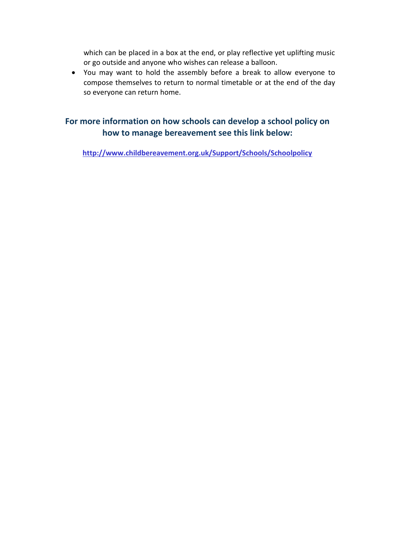which can be placed in a box at the end, or play reflective yet uplifting music or go outside and anyone who wishes can release a balloon.

 You may want to hold the assembly before a break to allow everyone to compose themselves to return to normal timetable or at the end of the day so everyone can return home.

# **For more information on how schools can develop a school policy on how to manage bereavement see this link below:**

**<http://www.childbereavement.org.uk/Support/Schools/Schoolpolicy>**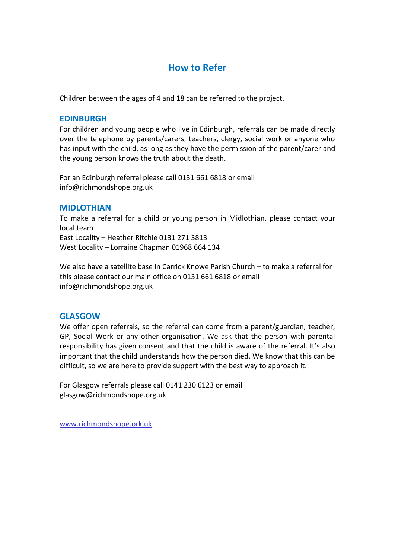# **How to Refer**

Children between the ages of 4 and 18 can be referred to the project.

### **EDINBURGH**

For children and young people who live in Edinburgh, referrals can be made directly over the telephone by parents/carers, teachers, clergy, social work or anyone who has input with the child, as long as they have the permission of the parent/carer and the young person knows the truth about the death.

For an Edinburgh referral please call 0131 661 6818 or email info@richmondshope.org.uk

### **MIDLOTHIAN**

To make a referral for a child or young person in Midlothian, please contact your local team East Locality – Heather Ritchie 0131 271 3813 West Locality – Lorraine Chapman 01968 664 134

We also have a satellite base in Carrick Knowe Parish Church – to make a referral for this please contact our main office on 0131 661 6818 or email info@richmondshope.org.uk

# **GLASGOW**

We offer open referrals, so the referral can come from a parent/guardian, teacher, GP, Social Work or any other organisation. We ask that the person with parental responsibility has given consent and that the child is aware of the referral. It's also important that the child understands how the person died. We know that this can be difficult, so we are here to provide support with the best way to approach it.

For Glasgow referrals please call 0141 230 6123 or email glasgow@richmondshope.org.uk

[www.richmondshope.ork.uk](http://www.richmondshope.ork.uk/)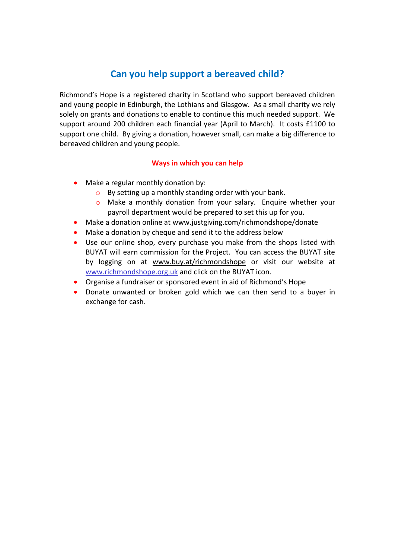# **Can you help support a bereaved child?**

Richmond's Hope is a registered charity in Scotland who support bereaved children and young people in Edinburgh, the Lothians and Glasgow. As a small charity we rely solely on grants and donations to enable to continue this much needed support. We support around 200 children each financial year (April to March). It costs £1100 to support one child. By giving a donation, however small, can make a big difference to bereaved children and young people.

### **Ways in which you can help**

- Make a regular monthly donation by:
	- o By setting up a monthly standing order with your bank.
	- o Make a monthly donation from your salary. Enquire whether your payroll department would be prepared to set this up for you.
- Make a donation online at [www.justgiving.com/richmondshope/donate](http://www.justgiving.com/richmondshope/donate)
- Make a donation by cheque and send it to the address below
- Use our online shop, every purchase you make from the shops listed with BUYAT will earn commission for the Project. You can access the BUYAT site by logging on at [www.buy.at/richmondshope](http://www.buy.at/richmondshope) or visit our website at [www.richmondshope.org.uk](http://www.richmondshope.org.uk/) and click on the BUYAT icon.
- Organise a fundraiser or sponsored event in aid of Richmond's Hope
- Donate unwanted or broken gold which we can then send to a buyer in exchange for cash.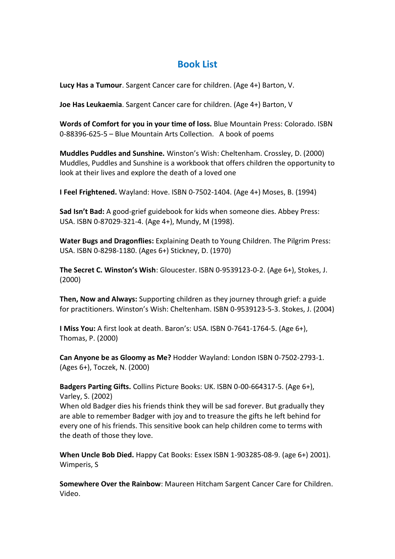# **Book List**

**Lucy Has a Tumour**. Sargent Cancer care for children. (Age 4+) Barton, V.

**Joe Has Leukaemia**. Sargent Cancer care for children. (Age 4+) Barton, V

**Words of Comfort for you in your time of loss.** Blue Mountain Press: Colorado. ISBN 0-88396-625-5 – Blue Mountain Arts Collection. A book of poems

**Muddles Puddles and Sunshine.** Winston's Wish: Cheltenham. Crossley, D. (2000) Muddles, Puddles and Sunshine is a workbook that offers children the opportunity to look at their lives and explore the death of a loved one

**I Feel Frightened.** Wayland: Hove. ISBN 0-7502-1404. (Age 4+) Moses, B. (1994)

**Sad Isn't Bad:** A good-grief guidebook for kids when someone dies. Abbey Press: USA. ISBN 0-87029-321-4. (Age 4+), Mundy, M (1998).

**Water Bugs and Dragonflies:** Explaining Death to Young Children. The Pilgrim Press: USA. ISBN 0-8298-1180. (Ages 6+) Stickney, D. (1970)

**The Secret C. Winston's Wish**: Gloucester. ISBN 0-9539123-0-2. (Age 6+), Stokes, J. (2000)

**Then, Now and Always:** Supporting children as they journey through grief: a guide for practitioners. Winston's Wish: Cheltenham. ISBN 0-9539123-5-3. Stokes, J. (2004)

**I Miss You:** A first look at death. Baron's: USA. ISBN 0-7641-1764-5. (Age 6+), Thomas, P. (2000)

**Can Anyone be as Gloomy as Me?** Hodder Wayland: London ISBN 0-7502-2793-1. (Ages 6+), Toczek, N. (2000)

**Badgers Parting Gifts.** Collins Picture Books: UK. ISBN 0-00-664317-5. (Age 6+), Varley, S. (2002)

When old Badger dies his friends think they will be sad forever. But gradually they are able to remember Badger with joy and to treasure the gifts he left behind for every one of his friends. This sensitive book can help children come to terms with the death of those they love.

**When Uncle Bob Died.** Happy Cat Books: Essex ISBN 1-903285-08-9. (age 6+) 2001). Wimperis, S

**Somewhere Over the Rainbow**: Maureen Hitcham Sargent Cancer Care for Children. Video.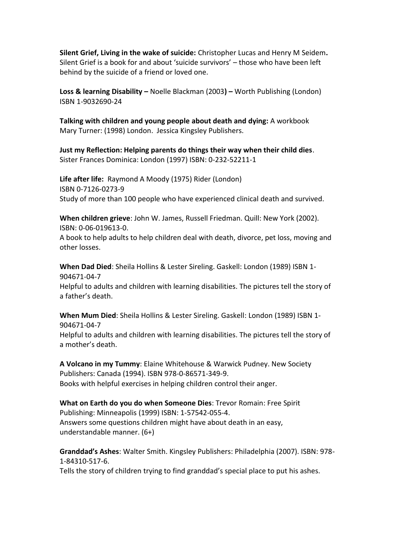**Silent Grief, Living in the wake of suicide:** Christopher Lucas and Henry M Seidem**.**  Silent Grief is a book for and about 'suicide survivors' – those who have been left behind by the suicide of a friend or loved one.

**Loss & learning Disability –** Noelle Blackman (2003**) –** Worth Publishing (London) ISBN 1-9032690-24

**Talking with children and young people about death and dying:** A workbook Mary Turner: (1998) London. Jessica Kingsley Publishers.

**Just my Reflection: Helping parents do things their way when their child dies**. Sister Frances Dominica: London (1997) ISBN: 0-232-52211-1

**Life after life:** Raymond A Moody (1975) Rider (London) ISBN 0-7126-0273-9 Study of more than 100 people who have experienced clinical death and survived.

**When children grieve**: John W. James, Russell Friedman. Quill: New York (2002). ISBN: 0-06-019613-0.

A book to help adults to help children deal with death, divorce, pet loss, moving and other losses.

**When Dad Died**: Sheila Hollins & Lester Sireling. Gaskell: London (1989) ISBN 1- 904671-04-7 Helpful to adults and children with learning disabilities. The pictures tell the story of a father's death.

**When Mum Died**: Sheila Hollins & Lester Sireling. Gaskell: London (1989) ISBN 1- 904671-04-7 Helpful to adults and children with learning disabilities. The pictures tell the story of a mother's death.

**A Volcano in my Tummy**: Elaine Whitehouse & Warwick Pudney. New Society Publishers: Canada (1994). ISBN 978-0-86571-349-9. Books with helpful exercises in helping children control their anger.

**What on Earth do you do when Someone Dies**: Trevor Romain: Free Spirit Publishing: Minneapolis (1999) ISBN: 1-57542-055-4. Answers some questions children might have about death in an easy, understandable manner. (6+)

**Granddad's Ashes**: Walter Smith. Kingsley Publishers: Philadelphia (2007). ISBN: 978- 1-84310-517-6.

Tells the story of children trying to find granddad's special place to put his ashes.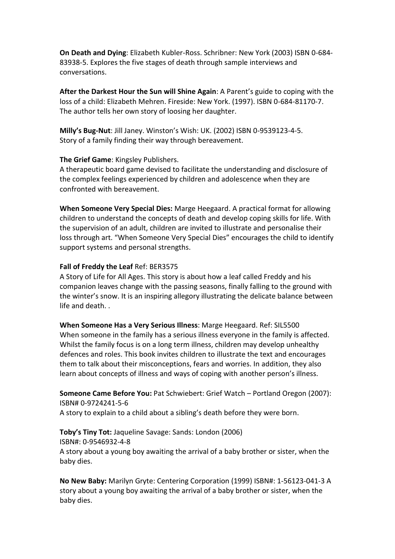**On Death and Dying**: Elizabeth Kubler-Ross. Schribner: New York (2003) ISBN 0-684- 83938-5. Explores the five stages of death through sample interviews and conversations.

**After the Darkest Hour the Sun will Shine Again**: A Parent's guide to coping with the loss of a child: Elizabeth Mehren. Fireside: New York. (1997). ISBN 0-684-81170-7. The author tells her own story of loosing her daughter.

**Milly's Bug-Nut**: Jill Janey. Winston's Wish: UK. (2002) ISBN 0-9539123-4-5. Story of a family finding their way through bereavement.

### **The Grief Game**: Kingsley Publishers.

A therapeutic board game devised to facilitate the understanding and disclosure of the complex feelings experienced by children and adolescence when they are confronted with bereavement.

**When Someone Very Special Dies:** Marge Heegaard. A practical format for allowing children to understand the concepts of death and develop coping skills for life. With the supervision of an adult, children are invited to illustrate and personalise their loss through art. "When Someone Very Special Dies" encourages the child to identify support systems and personal strengths.

### **Fall of Freddy the Leaf** Ref: BER3575

A Story of Life for All Ages. This story is about how a leaf called Freddy and his companion leaves change with the passing seasons, finally falling to the ground with the winter's snow. It is an inspiring allegory illustrating the delicate balance between life and death. .

**When Someone Has a Very Serious Illness**: Marge Heegaard. Ref: SIL5500 When someone in the family has a serious illness everyone in the family is affected. Whilst the family focus is on a long term illness, children may develop unhealthy defences and roles. This book invites children to illustrate the text and encourages them to talk about their misconceptions, fears and worries. In addition, they also learn about concepts of illness and ways of coping with another person's illness.

**Someone Came Before You:** Pat Schwiebert: Grief Watch – Portland Oregon (2007): ISBN# 0-9724241-5-6 A story to explain to a child about a sibling's death before they were born.

**Toby's Tiny Tot:** Jaqueline Savage: Sands: London (2006) ISBN#: 0-9546932-4-8 A story about a young boy awaiting the arrival of a baby brother or sister, when the baby dies.

**No New Baby:** Marilyn Gryte: Centering Corporation (1999) ISBN#: 1-56123-041-3 A story about a young boy awaiting the arrival of a baby brother or sister, when the baby dies.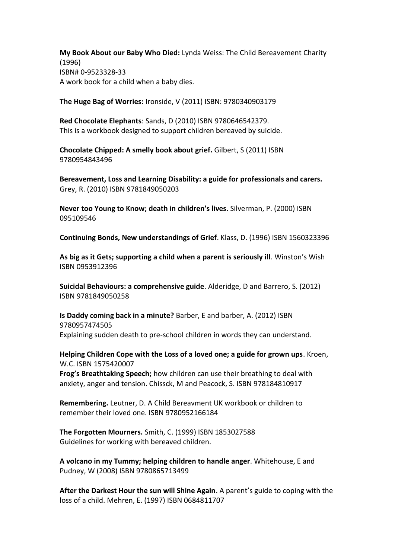**My Book About our Baby Who Died:** Lynda Weiss: The Child Bereavement Charity (1996) ISBN# 0-9523328-33 A work book for a child when a baby dies.

**The Huge Bag of Worries:** Ironside, V (2011) ISBN: 9780340903179

**Red Chocolate Elephants**: Sands, D (2010) ISBN 9780646542379. This is a workbook designed to support children bereaved by suicide.

**Chocolate Chipped: A smelly book about grief.** Gilbert, S (2011) ISBN 9780954843496

**Bereavement, Loss and Learning Disability: a guide for professionals and carers.** Grey, R. (2010) ISBN 9781849050203

**Never too Young to Know; death in children's lives**. Silverman, P. (2000) ISBN 095109546

**Continuing Bonds, New understandings of Grief**. Klass, D. (1996) ISBN 1560323396

**As big as it Gets; supporting a child when a parent is seriously ill**. Winston's Wish ISBN 0953912396

**Suicidal Behaviours: a comprehensive guide**. Alderidge, D and Barrero, S. (2012) ISBN 9781849050258

**Is Daddy coming back in a minute?** Barber, E and barber, A. (2012) ISBN 9780957474505 Explaining sudden death to pre-school children in words they can understand.

**Helping Children Cope with the Loss of a loved one; a guide for grown ups**. Kroen, W.C. ISBN 1575420007

**Frog's Breathtaking Speech;** how children can use their breathing to deal with anxiety, anger and tension. Chissck, M and Peacock, S. ISBN 978184810917

**Remembering.** Leutner, D. A Child Bereavment UK workbook or children to remember their loved one. ISBN 9780952166184

**The Forgotten Mourners.** Smith, C. (1999) ISBN 1853027588 Guidelines for working with bereaved children.

**A volcano in my Tummy; helping children to handle anger**. Whitehouse, E and Pudney, W (2008) ISBN 9780865713499

**After the Darkest Hour the sun will Shine Again**. A parent's guide to coping with the loss of a child. Mehren, E. (1997) ISBN 0684811707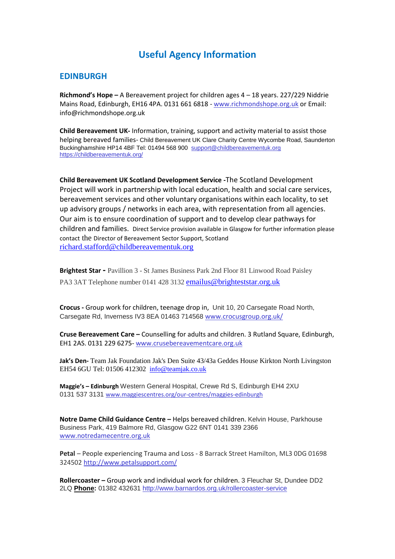# **Useful Agency Information**

# **EDINBURGH**

**Richmond's Hope –** A Bereavement project for children ages 4 – 18 years. 227/229 Niddrie Mains Road, Edinburgh, EH16 4PA. 0131 661 6818 - [www.richmondshope.org.uk](http://www.richmondshope.org.uk/) or Email: info@richmondshope.org.uk

**Child Bereavement UK-** Information, training, support and activity material to assist those helping bereaved families- Child Bereavement UK Clare Charity Centre Wycombe Road, Saunderton Buckinghamshire HP14 4BF Tel: 01494 568 900 [support@childbereavementuk.org](mailto:support@childbereavementuk.org) <https://childbereavementuk.org/>

**Child Bereavement UK Scotland Development Service -**The Scotland Development Project will work in partnership with local education, health and social care services, bereavement services and other voluntary organisations within each locality, to set up advisory groups / networks in each area, with representation from all agencies. Our aim is to ensure coordination of support and to develop clear pathways for children and families. Direct Service provision available in Glasgow for further information please contact the Director of Bereavement Sector Support, Scotland [richard.stafford@childbereavementuk.org](mailto:richard.stafford@childbereavementuk.org)

**Brightest Star -** Pavillion 3 - St James Business Park 2nd Floor 81 Linwood Road Paisley PA3 3AT Telephone number 0141 428 3132 [emailus@brighteststar.org.uk](mailto:emailus@brighteststar.org.uk)

**Crocus -** Group work for children, teenage drop in, Unit 10, 20 Carsegate Road North, Carsegate Rd, Inverness IV3 8EA 01463 714568 [www.crocusgroup.org.uk/](http://www.crocusgroup.org.uk/)

**Cruse Bereavement Care –** Counselling for adults and children. 3 Rutland Square, Edinburgh, EH1 2AS. 0131 229 6275- [www.crusebereavementcare.org.uk](http://www.crusebereavementcare.org.uk/)

**Jak's Den-** Team Jak Foundation Jak's Den Suite 43/43a Geddes House Kirkton North Livingston EH54 6GU Tel: 01506 412302 [info@teamjak.co.uk](mailto:info@teamjak.co.uk)

**Maggie's – Edinburgh** Western General Hospital, Crewe Rd S, Edinburgh EH4 2XU 0131 537 3131 [www.maggiescentres.org/our-centres/maggies-edinburgh](http://www.maggiescentres.org/our-centres/maggies-edinburgh)

**Notre Dame Child Guidance Centre –** Helps bereaved children. Kelvin House, Parkhouse Business Park, 419 Balmore Rd, Glasgow G22 6NT 0141 339 2366 [www.notredamecentre.org.uk](http://www.notredamecentre.org.uk/)

**Petal** – People experiencing Trauma and Loss - 8 Barrack Street Hamilton, ML3 0DG 01698 324502<http://www.petalsupport.com/>

**Rollercoaster –** Group work and individual work for children. 3 Fleuchar St, Dundee DD2 2LQ **[Phone:](https://www.google.co.uk/search?rlz=1C1GGRV_enGB751GB751&q=barnardo%27s+dundee+phone&sa=X&ved=0ahUKEwj6mOWmlvzVAhVQF8AKHUn6DZAQ6BMIfTAP)** 01382 432631 <http://www.barnardos.org.uk/rollercoaster-service>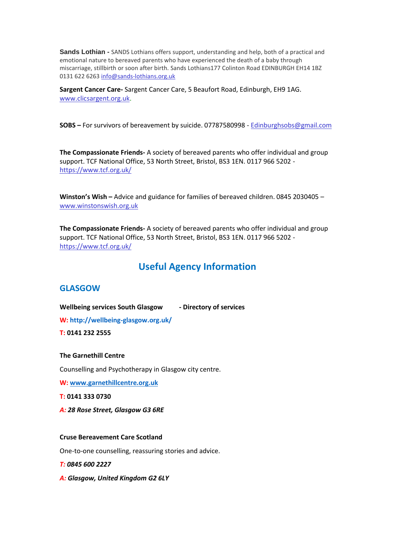**Sands Lothian -** SANDS Lothians offers support, understanding and help, both of a practical and emotional nature to bereaved parents who have experienced the death of a baby through miscarriage, stillbirth or soon after birth. Sands Lothians177 Colinton Road EDINBURGH EH14 1BZ 0131 622 626[3 info@sands-lothians.org.uk](mailto:info@sands-lothians.org.uk)

**Sargent Cancer Care-** Sargent Cancer Care, 5 Beaufort Road, Edinburgh, EH9 1AG. [www.clicsargent.org.uk.](http://www.clicsargent.org.uk/)

**SOBS –** For survivors of bereavement by suicide. 07787580998 - [Edinburghsobs@gmail.com](mailto:Edinburghsobs@gmail.com)

**The Compassionate Friends-** A society of bereaved parents who offer individual and group support. TCF National Office, 53 North Street, Bristol, BS3 1EN. 0117 966 5202 <https://www.tcf.org.uk/>

**Winston's Wish –** Advice and guidance for families of bereaved children. 0845 2030405 – [www.winstonswish.org.uk](http://www.winstonswish.org.uk/)

**The Compassionate Friends-** A society of bereaved parents who offer individual and group support. TCF National Office, 53 North Street, Bristol, BS3 1EN. 0117 966 5202 <https://www.tcf.org.uk/>

# **Useful Agency Information**

### **GLASGOW**

**Wellbeing services South Glasgow - Directory of services**

**W[: http://wellbeing-glasgow.org.uk/](http://wellbeing-glasgow.org.uk/)**

**T: 0141 232 2555**

#### **The Garnethill Centre**

Counselling and Psychotherapy in Glasgow city centre.

**W[: www.garnethillcentre.org.uk](http://www.garnethillcentre.org.uk/)**

**T: 0141 333 0730**

*A: 28 Rose Street, Glasgow G3 6RE*

#### **Cruse Bereavement Care Scotland**

One-to-one counselling, reassuring stories and advice.

*T: 0845 600 2227*

*A: Glasgow, United Kingdom G2 6LY*